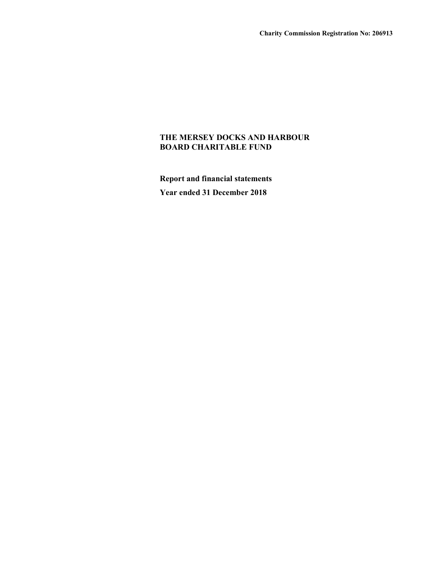Report and financial statements Year ended 31 December 2018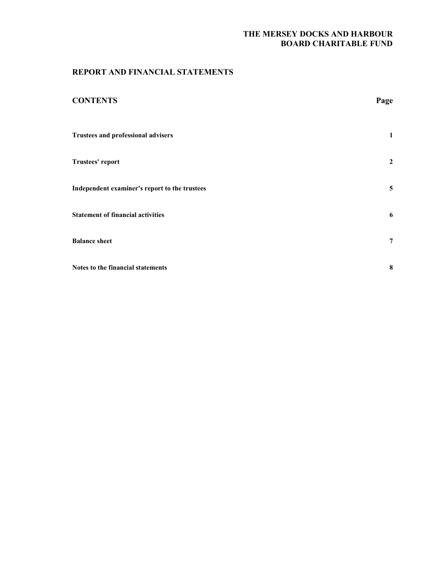## REPORT AND FINANCIAL STATEMENTS

| <b>CONTENTS</b>                               | Page           |
|-----------------------------------------------|----------------|
| <b>Trustees and professional advisers</b>     | 1              |
| Trustees' report                              | $\overline{2}$ |
| Independent examiner's report to the trustees | 5              |
| <b>Statement of financial activities</b>      | 6              |
| <b>Balance sheet</b>                          | $\overline{7}$ |
| Notes to the financial statements             | 8              |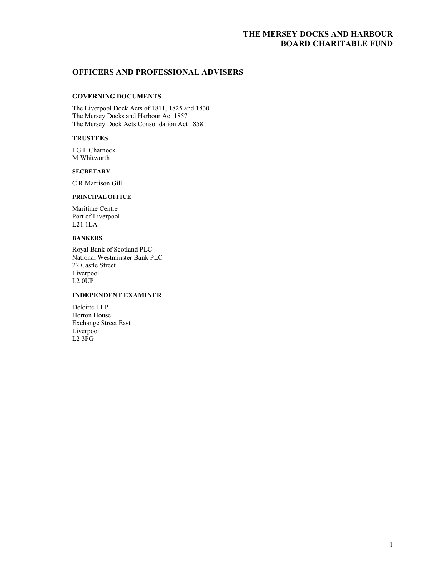## OFFICERS AND PROFESSIONAL ADVISERS

### GOVERNING DOCUMENTS

The Liverpool Dock Acts of 1811, 1825 and 1830 The Mersey Docks and Harbour Act 1857 The Mersey Dock Acts Consolidation Act 1858

## **TRUSTEES**

I G L Charnock M Whitworth

#### **SECRETARY**

C R Marrison Gill

## PRINCIPAL OFFICE

Maritime Centre Port of Liverpool L21 1LA

## BANKERS

Royal Bank of Scotland PLC National Westminster Bank PLC 22 Castle Street Liverpool  $L2$   $0\overline{U}P$ 

## INDEPENDENT EXAMINER

Deloitte LLP Horton House Exchange Street East Liverpool  $L2$  3 $\overline{P}G$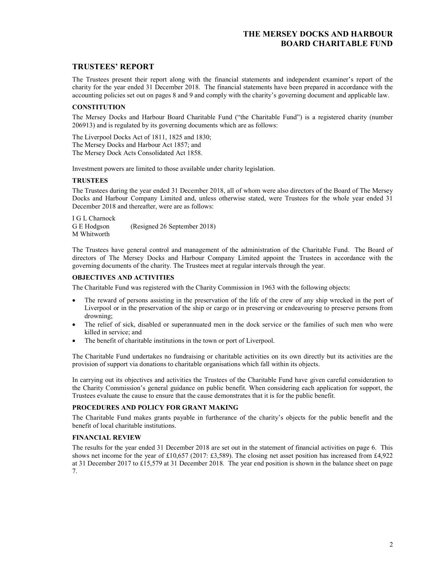## TRUSTEES' REPORT

The Trustees present their report along with the financial statements and independent examiner's report of the charity for the year ended 31 December 2018. The financial statements have been prepared in accordance with the accounting policies set out on pages 8 and 9 and comply with the charity's governing document and applicable law.

### **CONSTITUTION**

The Mersey Docks and Harbour Board Charitable Fund ("the Charitable Fund") is a registered charity (number 206913) and is regulated by its governing documents which are as follows:

The Liverpool Docks Act of 1811, 1825 and 1830; The Mersey Docks and Harbour Act 1857; and The Mersey Dock Acts Consolidated Act 1858.

Investment powers are limited to those available under charity legislation.

### TRUSTEES

The Trustees during the year ended 31 December 2018, all of whom were also directors of the Board of The Mersey Docks and Harbour Company Limited and, unless otherwise stated, were Trustees for the whole year ended 31 December 2018 and thereafter, were are as follows:

I G L Charnock G E Hodgson (Resigned 26 September 2018) M Whitworth

The Trustees have general control and management of the administration of the Charitable Fund. The Board of directors of The Mersey Docks and Harbour Company Limited appoint the Trustees in accordance with the governing documents of the charity. The Trustees meet at regular intervals through the year.

### OBJECTIVES AND ACTIVITIES

The Charitable Fund was registered with the Charity Commission in 1963 with the following objects:

- The reward of persons assisting in the preservation of the life of the crew of any ship wrecked in the port of Liverpool or in the preservation of the ship or cargo or in preserving or endeavouring to preserve persons from drowning;
- The relief of sick, disabled or superannuated men in the dock service or the families of such men who were killed in service; and
- The benefit of charitable institutions in the town or port of Liverpool.

The Charitable Fund undertakes no fundraising or charitable activities on its own directly but its activities are the provision of support via donations to charitable organisations which fall within its objects.

In carrying out its objectives and activities the Trustees of the Charitable Fund have given careful consideration to the Charity Commission's general guidance on public benefit. When considering each application for support, the Trustees evaluate the cause to ensure that the cause demonstrates that it is for the public benefit.

### PROCEDURES AND POLICY FOR GRANT MAKING

The Charitable Fund makes grants payable in furtherance of the charity's objects for the public benefit and the benefit of local charitable institutions.

### FINANCIAL REVIEW

The results for the year ended 31 December 2018 are set out in the statement of financial activities on page 6. This shows net income for the year of £10,657 (2017: £3,589). The closing net asset position has increased from £4,922 at 31 December 2017 to £15,579 at 31 December 2018. The year end position is shown in the balance sheet on page 7.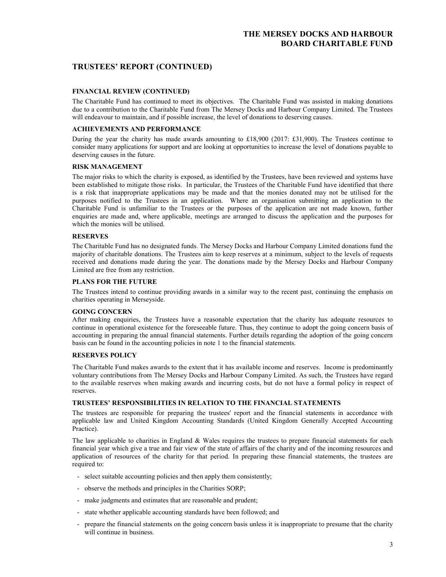## TRUSTEES' REPORT (CONTINUED)

### FINANCIAL REVIEW (CONTINUED)

The Charitable Fund has continued to meet its objectives. The Charitable Fund was assisted in making donations due to a contribution to the Charitable Fund from The Mersey Docks and Harbour Company Limited. The Trustees will endeavour to maintain, and if possible increase, the level of donations to deserving causes.

### ACHIEVEMENTS AND PERFORMANCE

During the year the charity has made awards amounting to £18,900 (2017: £31,900). The Trustees continue to consider many applications for support and are looking at opportunities to increase the level of donations payable to deserving causes in the future.

### RISK MANAGEMENT

The major risks to which the charity is exposed, as identified by the Trustees, have been reviewed and systems have been established to mitigate those risks. In particular, the Trustees of the Charitable Fund have identified that there is a risk that inappropriate applications may be made and that the monies donated may not be utilised for the purposes notified to the Trustees in an application. Where an organisation submitting an application to the Charitable Fund is unfamiliar to the Trustees or the purposes of the application are not made known, further enquiries are made and, where applicable, meetings are arranged to discuss the application and the purposes for which the monies will be utilised.

### **RESERVES**

The Charitable Fund has no designated funds. The Mersey Docks and Harbour Company Limited donations fund the majority of charitable donations. The Trustees aim to keep reserves at a minimum, subject to the levels of requests received and donations made during the year. The donations made by the Mersey Docks and Harbour Company Limited are free from any restriction.

### PLANS FOR THE FUTURE

The Trustees intend to continue providing awards in a similar way to the recent past, continuing the emphasis on charities operating in Merseyside.

### GOING CONCERN

After making enquiries, the Trustees have a reasonable expectation that the charity has adequate resources to continue in operational existence for the foreseeable future. Thus, they continue to adopt the going concern basis of accounting in preparing the annual financial statements. Further details regarding the adoption of the going concern basis can be found in the accounting policies in note 1 to the financial statements.

### RESERVES POLICY

The Charitable Fund makes awards to the extent that it has available income and reserves. Income is predominantly voluntary contributions from The Mersey Docks and Harbour Company Limited. As such, the Trustees have regard to the available reserves when making awards and incurring costs, but do not have a formal policy in respect of reserves.

### TRUSTEES' RESPONSIBILITIES IN RELATION TO THE FINANCIAL STATEMENTS

The trustees are responsible for preparing the trustees' report and the financial statements in accordance with applicable law and United Kingdom Accounting Standards (United Kingdom Generally Accepted Accounting Practice).

The law applicable to charities in England & Wales requires the trustees to prepare financial statements for each financial year which give a true and fair view of the state of affairs of the charity and of the incoming resources and application of resources of the charity for that period. In preparing these financial statements, the trustees are required to:

- select suitable accounting policies and then apply them consistently;
- observe the methods and principles in the Charities SORP;
- make judgments and estimates that are reasonable and prudent;
- state whether applicable accounting standards have been followed; and
- prepare the financial statements on the going concern basis unless it is inappropriate to presume that the charity will continue in business.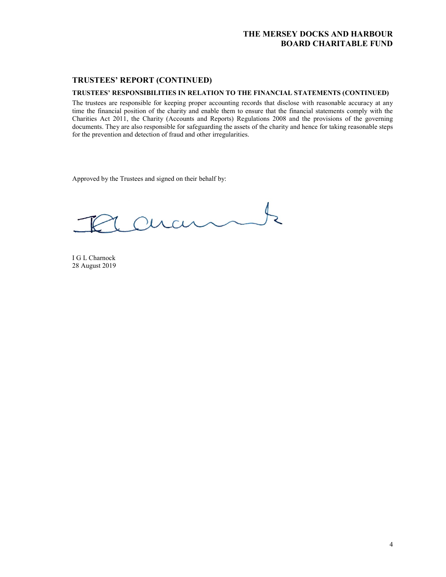## TRUSTEES' REPORT (CONTINUED)

## TRUSTEES' RESPONSIBILITIES IN RELATION TO THE FINANCIAL STATEMENTS (CONTINUED)

The trustees are responsible for keeping proper accounting records that disclose with reasonable accuracy at any time the financial position of the charity and enable them to ensure that the financial statements comply with the Charities Act 2011, the Charity (Accounts and Reports) Regulations 2008 and the provisions of the governing documents. They are also responsible for safeguarding the assets of the charity and hence for taking reasonable steps for the prevention and detection of fraud and other irregularities.

Approved by the Trustees and signed on their behalf by:

 $\downarrow$ aram

I G L Charnock 28 August 2019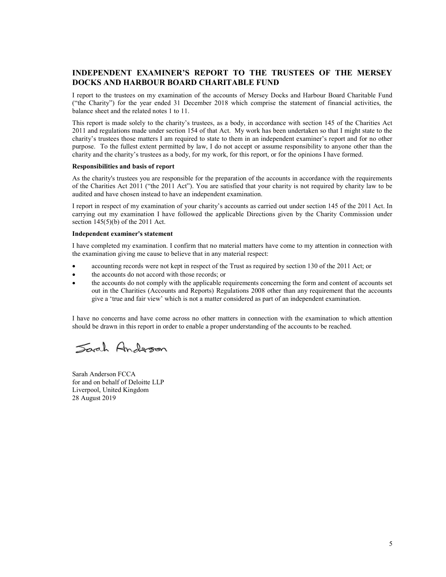# INDEPENDENT EXAMINER'S REPORT TO THE TRUSTEES OF THE MERSEY DOCKS AND HARBOUR BOARD CHARITABLE FUND

I report to the trustees on my examination of the accounts of Mersey Docks and Harbour Board Charitable Fund ("the Charity") for the year ended 31 December 2018 which comprise the statement of financial activities, the balance sheet and the related notes 1 to 11.

This report is made solely to the charity's trustees, as a body, in accordance with section 145 of the Charities Act 2011 and regulations made under section 154 of that Act. My work has been undertaken so that I might state to the charity's trustees those matters I am required to state to them in an independent examiner's report and for no other purpose. To the fullest extent permitted by law, I do not accept or assume responsibility to anyone other than the charity and the charity's trustees as a body, for my work, for this report, or for the opinions I have formed.

#### Responsibilities and basis of report

As the charity's trustees you are responsible for the preparation of the accounts in accordance with the requirements of the Charities Act 2011 ("the 2011 Act"). You are satisfied that your charity is not required by charity law to be audited and have chosen instead to have an independent examination.

I report in respect of my examination of your charity's accounts as carried out under section 145 of the 2011 Act. In carrying out my examination I have followed the applicable Directions given by the Charity Commission under section  $145(5)(b)$  of the 2011 Act.

#### Independent examiner's statement

I have completed my examination. I confirm that no material matters have come to my attention in connection with the examination giving me cause to believe that in any material respect:

- accounting records were not kept in respect of the Trust as required by section 130 of the 2011 Act; or
- the accounts do not accord with those records; or
- the accounts do not comply with the applicable requirements concerning the form and content of accounts set out in the Charities (Accounts and Reports) Regulations 2008 other than any requirement that the accounts give a 'true and fair view' which is not a matter considered as part of an independent examination.

I have no concerns and have come across no other matters in connection with the examination to which attention should be drawn in this report in order to enable a proper understanding of the accounts to be reached.

Sarah Anderson

Sarah Anderson FCCA for and on behalf of Deloitte LLP Liverpool, United Kingdom 28 August 2019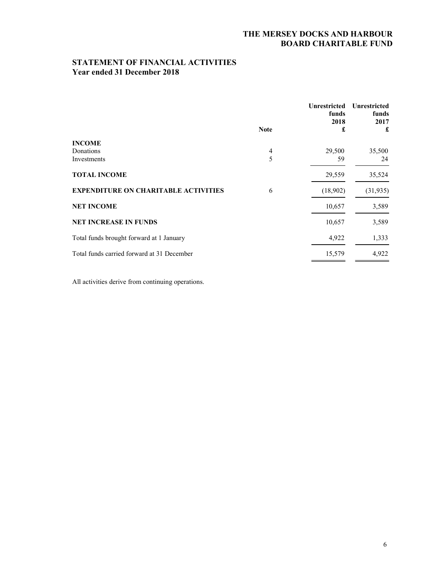# STATEMENT OF FINANCIAL ACTIVITIES Year ended 31 December 2018

|                                             |             | <b>Unrestricted</b><br>funds<br>2018 | <b>Unrestricted</b><br>funds<br>2017 |
|---------------------------------------------|-------------|--------------------------------------|--------------------------------------|
|                                             | <b>Note</b> | £                                    | £                                    |
| <b>INCOME</b>                               |             |                                      |                                      |
| Donations                                   | 4           | 29,500                               | 35,500                               |
| Investments                                 | 5           | 59                                   | 24                                   |
| <b>TOTAL INCOME</b>                         |             | 29,559                               | 35,524                               |
| <b>EXPENDITURE ON CHARITABLE ACTIVITIES</b> | 6           | (18,902)                             | (31, 935)                            |
| <b>NET INCOME</b>                           |             | 10,657                               | 3,589                                |
| <b>NET INCREASE IN FUNDS</b>                |             | 10,657                               | 3,589                                |
| Total funds brought forward at 1 January    |             | 4,922                                | 1,333                                |
| Total funds carried forward at 31 December  |             | 15,579                               | 4,922                                |

All activities derive from continuing operations.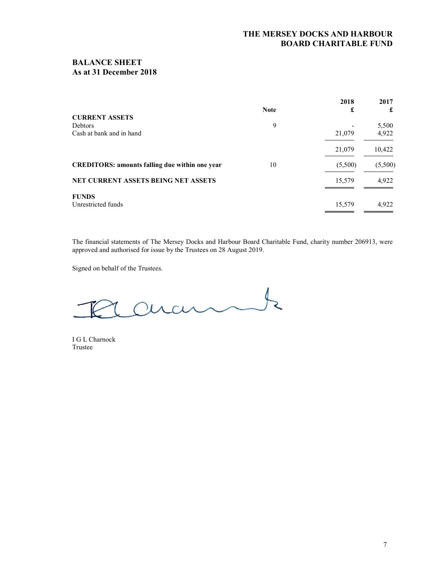## BALANCE SHEET As at 31 December 2018

| <b>CURRENT ASSETS</b>                                 | <b>Note</b> | 2018<br>£ | 2017<br>£ |
|-------------------------------------------------------|-------------|-----------|-----------|
| <b>Debtors</b>                                        | 9           |           | 5,500     |
| Cash at bank and in hand                              |             | 21,079    | 4,922     |
|                                                       |             | 21,079    | 10,422    |
| <b>CREDITORS: amounts falling due within one year</b> | 10          | (5,500)   | (5,500)   |
| <b>NET CURRENT ASSETS BEING NET ASSETS</b>            |             | 15,579    | 4.922     |
| <b>FUNDS</b><br>Unrestricted funds                    |             | 15,579    | 4.922     |

The financial statements of The Mersey Docks and Harbour Board Charitable Fund, charity number 206913, were approved and authorised for issue by the Trustees on 28 August 2019.

Signed on behalf of the Trustees.

cuant  $\overline{\mathbf{z}}$ 

I G L Charnock Trustee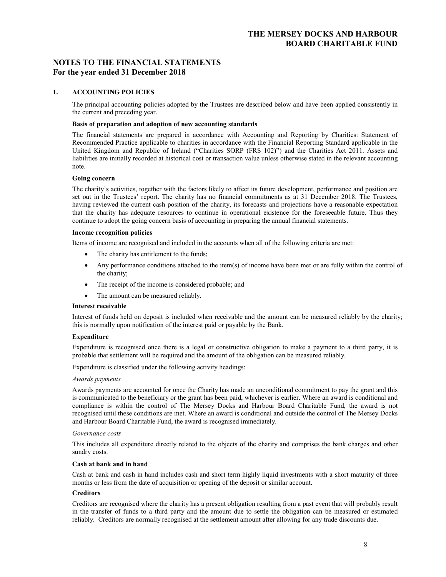## NOTES TO THE FINANCIAL STATEMENTS For the year ended 31 December 2018

### 1. ACCOUNTING POLICIES

The principal accounting policies adopted by the Trustees are described below and have been applied consistently in the current and preceding year.

### Basis of preparation and adoption of new accounting standards

The financial statements are prepared in accordance with Accounting and Reporting by Charities: Statement of Recommended Practice applicable to charities in accordance with the Financial Reporting Standard applicable in the United Kingdom and Republic of Ireland ("Charities SORP (FRS 102)") and the Charities Act 2011. Assets and liabilities are initially recorded at historical cost or transaction value unless otherwise stated in the relevant accounting note.

### Going concern

The charity's activities, together with the factors likely to affect its future development, performance and position are set out in the Trustees' report. The charity has no financial commitments as at 31 December 2018. The Trustees, having reviewed the current cash position of the charity, its forecasts and projections have a reasonable expectation that the charity has adequate resources to continue in operational existence for the foreseeable future. Thus they continue to adopt the going concern basis of accounting in preparing the annual financial statements.

#### Income recognition policies

Items of income are recognised and included in the accounts when all of the following criteria are met:

- The charity has entitlement to the funds;
- Any performance conditions attached to the item(s) of income have been met or are fully within the control of the charity;
- The receipt of the income is considered probable; and
- The amount can be measured reliably.

#### Interest receivable

Interest of funds held on deposit is included when receivable and the amount can be measured reliably by the charity; this is normally upon notification of the interest paid or payable by the Bank.

#### Expenditure

Expenditure is recognised once there is a legal or constructive obligation to make a payment to a third party, it is probable that settlement will be required and the amount of the obligation can be measured reliably.

Expenditure is classified under the following activity headings:

#### Awards payments

Awards payments are accounted for once the Charity has made an unconditional commitment to pay the grant and this is communicated to the beneficiary or the grant has been paid, whichever is earlier. Where an award is conditional and compliance is within the control of The Mersey Docks and Harbour Board Charitable Fund, the award is not recognised until these conditions are met. Where an award is conditional and outside the control of The Mersey Docks and Harbour Board Charitable Fund, the award is recognised immediately.

#### Governance costs

This includes all expenditure directly related to the objects of the charity and comprises the bank charges and other sundry costs.

### Cash at bank and in hand

Cash at bank and cash in hand includes cash and short term highly liquid investments with a short maturity of three months or less from the date of acquisition or opening of the deposit or similar account.

### **Creditors**

Creditors are recognised where the charity has a present obligation resulting from a past event that will probably result in the transfer of funds to a third party and the amount due to settle the obligation can be measured or estimated reliably. Creditors are normally recognised at the settlement amount after allowing for any trade discounts due.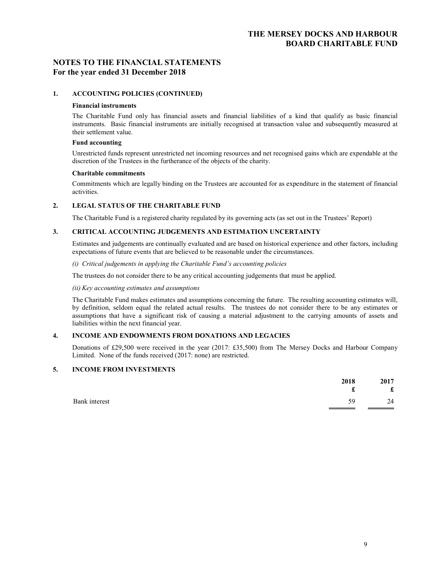## NOTES TO THE FINANCIAL STATEMENTS For the year ended 31 December 2018

### 1. ACCOUNTING POLICIES (CONTINUED)

#### Financial instruments

The Charitable Fund only has financial assets and financial liabilities of a kind that qualify as basic financial instruments. Basic financial instruments are initially recognised at transaction value and subsequently measured at their settlement value.

### Fund accounting

Unrestricted funds represent unrestricted net incoming resources and net recognised gains which are expendable at the discretion of the Trustees in the furtherance of the objects of the charity.

#### Charitable commitments

Commitments which are legally binding on the Trustees are accounted for as expenditure in the statement of financial activities.

### 2. LEGAL STATUS OF THE CHARITABLE FUND

The Charitable Fund is a registered charity regulated by its governing acts (as set out in the Trustees' Report)

### 3. CRITICAL ACCOUNTING JUDGEMENTS AND ESTIMATION UNCERTAINTY

Estimates and judgements are continually evaluated and are based on historical experience and other factors, including expectations of future events that are believed to be reasonable under the circumstances.

(i) Critical judgements in applying the Charitable Fund's accounting policies

The trustees do not consider there to be any critical accounting judgements that must be applied.

(ii) Key accounting estimates and assumptions

The Charitable Fund makes estimates and assumptions concerning the future. The resulting accounting estimates will, by definition, seldom equal the related actual results. The trustees do not consider there to be any estimates or assumptions that have a significant risk of causing a material adjustment to the carrying amounts of assets and liabilities within the next financial year.

### 4. INCOME AND ENDOWMENTS FROM DONATIONS AND LEGACIES

Donations of £29,500 were received in the year (2017: £35,500) from The Mersey Docks and Harbour Company Limited. None of the funds received (2017: none) are restricted.

### 5. INCOME FROM INVESTMENTS

| 2018                | 2017        |
|---------------------|-------------|
| £                   | $\mathbf f$ |
| Bank interest<br>59 | 24          |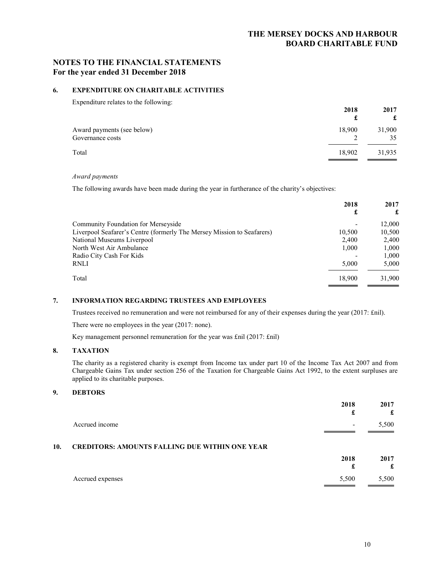## NOTES TO THE FINANCIAL STATEMENTS For the year ended 31 December 2018

### 6. EXPENDITURE ON CHARITABLE ACTIVITIES

Expenditure relates to the following:

| Enperience: Tenness to the following.          | 2018   | 2017   |
|------------------------------------------------|--------|--------|
| Award payments (see below)<br>Governance costs | 18,900 | 31,900 |
| Total                                          | 18,902 | 31,935 |

### Award payments

The following awards have been made during the year in furtherance of the charity's objectives:

|                                                                        | 2018<br>£ | 2017   |
|------------------------------------------------------------------------|-----------|--------|
|                                                                        |           |        |
| Community Foundation for Merseyside                                    |           | 12,000 |
| Liverpool Seafarer's Centre (formerly The Mersey Mission to Seafarers) | 10.500    | 10,500 |
| National Museums Liverpool                                             | 2,400     | 2.400  |
| North West Air Ambulance                                               | 1.000     | 1,000  |
| Radio City Cash For Kids                                               |           | 1.000  |
| RNLI                                                                   | 5,000     | 5,000  |
| Total                                                                  | 18,900    | 31.900 |
|                                                                        |           |        |

## 7. INFORMATION REGARDING TRUSTEES AND EMPLOYEES

Trustees received no remuneration and were not reimbursed for any of their expenses during the year (2017: £nil).

There were no employees in the year (2017: none).

Key management personnel remuneration for the year was £nil (2017: £nil)

### 8. TAXATION

The charity as a registered charity is exempt from Income tax under part 10 of the Income Tax Act 2007 and from Chargeable Gains Tax under section 256 of the Taxation for Chargeable Gains Act 1992, to the extent surpluses are applied to its charitable purposes.

### 9. DEBTORS

|     |                                                       | 2018<br>£ | 2017<br>£ |
|-----|-------------------------------------------------------|-----------|-----------|
|     | Accrued income                                        | ۰         | 5,500     |
| 10. | <b>CREDITORS: AMOUNTS FALLING DUE WITHIN ONE YEAR</b> |           |           |
|     |                                                       | 2018<br>£ | 2017<br>£ |
|     | Accrued expenses                                      | 5,500     | 5,500     |